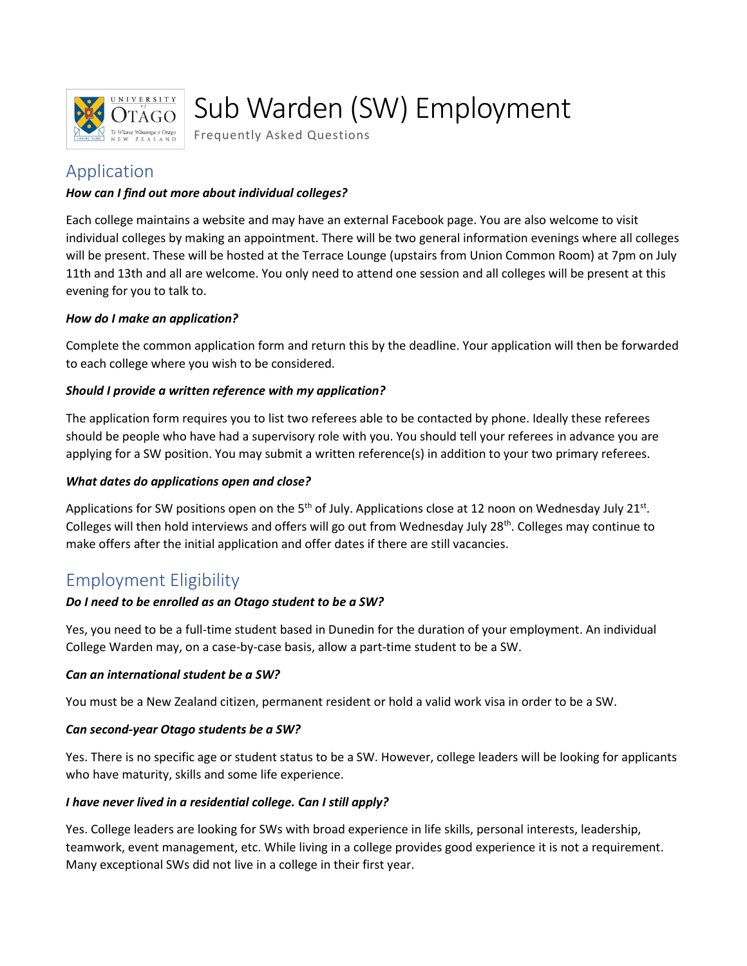

# Sub Warden (SW) Employment

Frequently Asked Questions

# Application

#### *How can I find out more about individual colleges?*

Each college maintains a website and may have an external Facebook page. You are also welcome to visit individual colleges by making an appointment. There will be two general information evenings where all colleges will be present. These will be hosted at the Terrace Lounge (upstairs from Union Common Room) at 7pm on July 11th and 13th and all are welcome. You only need to attend one session and all colleges will be present at this evening for you to talk to.

#### *How do I make an application?*

Complete the common application form and return this by the deadline. Your application will then be forwarded to each college where you wish to be considered.

#### *Should I provide a written reference with my application?*

The application form requires you to list two referees able to be contacted by phone. Ideally these referees should be people who have had a supervisory role with you. You should tell your referees in advance you are applying for a SW position. You may submit a written reference(s) in addition to your two primary referees.

#### *What dates do applications open and close?*

Applications for SW positions open on the 5<sup>th</sup> of July. Applications close at 12 noon on Wednesday July 21<sup>st</sup>. Colleges will then hold interviews and offers will go out from Wednesday July 28<sup>th</sup>. Colleges may continue to make offers after the initial application and offer dates if there are still vacancies.

## Employment Eligibility

#### *Do I need to be enrolled as an Otago student to be a SW?*

Yes, you need to be a full-time student based in Dunedin for the duration of your employment. An individual College Warden may, on a case-by-case basis, allow a part-time student to be a SW.

#### *Can an international student be a SW?*

You must be a New Zealand citizen, permanent resident or hold a valid work visa in order to be a SW.

#### *Can second-year Otago students be a SW?*

Yes. There is no specific age or student status to be a SW. However, college leaders will be looking for applicants who have maturity, skills and some life experience.

#### *I have never lived in a residential college. Can I still apply?*

Yes. College leaders are looking for SWs with broad experience in life skills, personal interests, leadership, teamwork, event management, etc. While living in a college provides good experience it is not a requirement. Many exceptional SWs did not live in a college in their first year.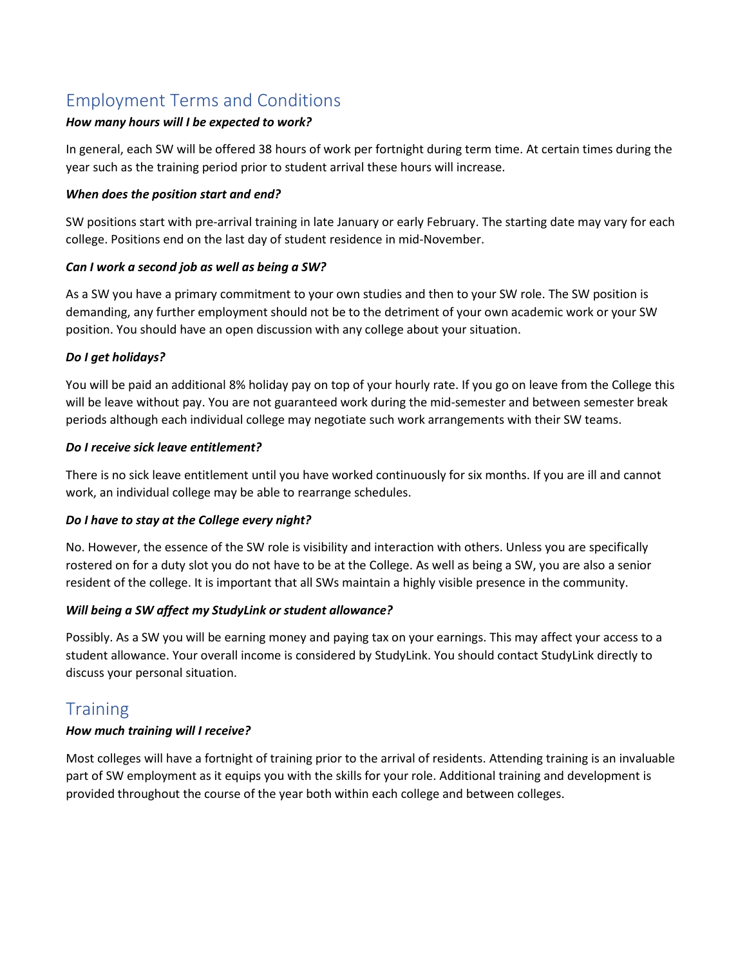# Employment Terms and Conditions

#### *How many hours will I be expected to work?*

In general, each SW will be offered 38 hours of work per fortnight during term time. At certain times during the year such as the training period prior to student arrival these hours will increase.

#### *When does the position start and end?*

SW positions start with pre-arrival training in late January or early February. The starting date may vary for each college. Positions end on the last day of student residence in mid-November.

#### *Can I work a second job as well as being a SW?*

As a SW you have a primary commitment to your own studies and then to your SW role. The SW position is demanding, any further employment should not be to the detriment of your own academic work or your SW position. You should have an open discussion with any college about your situation.

#### *Do I get holidays?*

You will be paid an additional 8% holiday pay on top of your hourly rate. If you go on leave from the College this will be leave without pay. You are not guaranteed work during the mid-semester and between semester break periods although each individual college may negotiate such work arrangements with their SW teams.

#### *Do I receive sick leave entitlement?*

There is no sick leave entitlement until you have worked continuously for six months. If you are ill and cannot work, an individual college may be able to rearrange schedules.

#### *Do I have to stay at the College every night?*

No. However, the essence of the SW role is visibility and interaction with others. Unless you are specifically rostered on for a duty slot you do not have to be at the College. As well as being a SW, you are also a senior resident of the college. It is important that all SWs maintain a highly visible presence in the community.

#### *Will being a SW affect my StudyLink or student allowance?*

Possibly. As a SW you will be earning money and paying tax on your earnings. This may affect your access to a student allowance. Your overall income is considered by StudyLink. You should contact StudyLink directly to discuss your personal situation.

## **Training**

#### *How much training will I receive?*

Most colleges will have a fortnight of training prior to the arrival of residents. Attending training is an invaluable part of SW employment as it equips you with the skills for your role. Additional training and development is provided throughout the course of the year both within each college and between colleges.